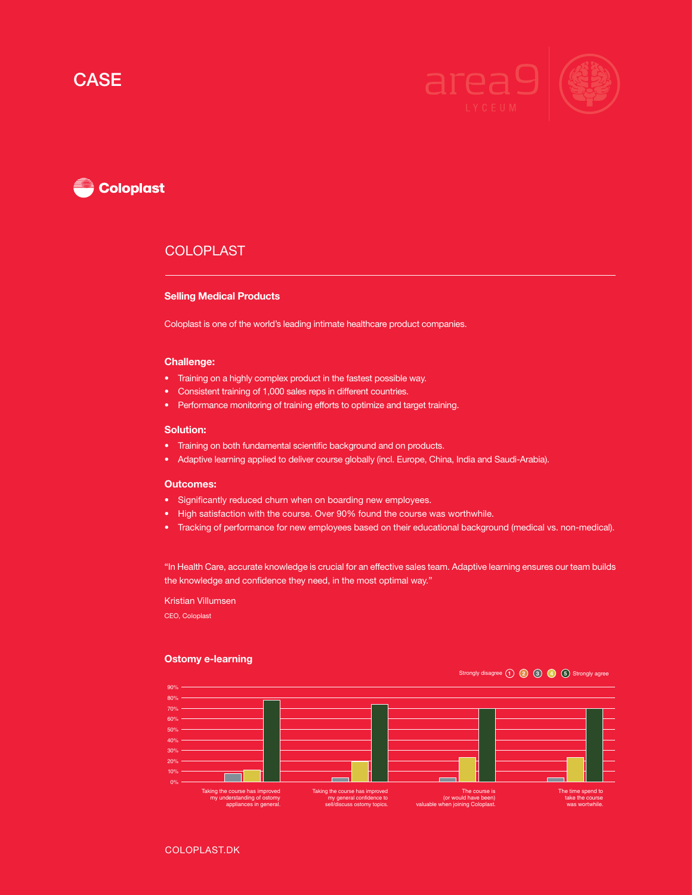## **CASE**



# **Coloplast**

## **COLOPLAST**

#### Selling Medical Products

Coloplast is one of the world's leading intimate healthcare product companies.

#### Challenge:

- Training on a highly complex product in the fastest possible way.
- Consistent training of 1,000 sales reps in different countries.
- Performance monitoring of training efforts to optimize and target training.

#### Solution:

- Training on both fundamental scientific background and on products.
- Adaptive learning applied to deliver course globally (incl. Europe, China, India and Saudi-Arabia).

#### Outcomes:

- Significantly reduced churn when on boarding new employees.
- High satisfaction with the course. Over 90% found the course was worthwhile.
- Tracking of performance for new employees based on their educational background (medical vs. non-medical).

"In Health Care, accurate knowledge is crucial for an effective sales team. Adaptive learning ensures our team builds the knowledge and confidence they need, in the most optimal way."

Kristian Villumsen

CEO, Coloplast

#### Ostomy e-learning

### Strongly disagree **1 2 3 4 5** Strongly agree